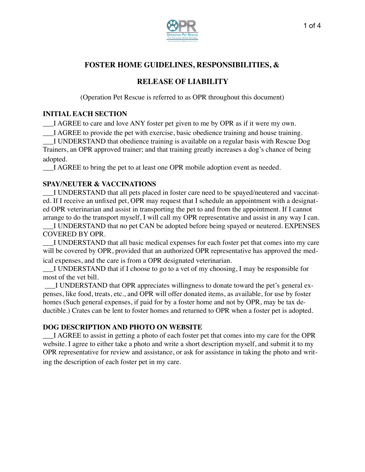

# **FOSTER HOME GUIDELINES, RESPONSIBILITIES, &**

# **RELEASE OF LIABILITY**

(Operation Pet Rescue is referred to as OPR throughout this document)

# **INITIAL EACH SECTION**

\_\_\_I AGREE to care and love ANY foster pet given to me by OPR as if it were my own.

\_\_\_I AGREE to provide the pet with exercise, basic obedience training and house training.

\_\_\_I UNDERSTAND that obedience training is available on a regular basis with Rescue Dog Trainers, an OPR approved trainer; and that training greatly increases a dog's chance of being adopted.

I AGREE to bring the pet to at least one OPR mobile adoption event as needed.

# **SPAY/NEUTER & VACCINATIONS**

\_\_\_I UNDERSTAND that all pets placed in foster care need to be spayed/neutered and vaccinated. If I receive an unfixed pet, OPR may request that I schedule an appointment with a designated OPR veterinarian and assist in transporting the pet to and from the appointment. If I cannot arrange to do the transport myself, I will call my OPR representative and assist in any way I can.

\_\_\_I UNDERSTAND that no pet CAN be adopted before being spayed or neutered. EXPENSES COVERED BY OPR.

\_\_\_I UNDERSTAND that all basic medical expenses for each foster pet that comes into my care will be covered by OPR, provided that an authorized OPR representative has approved the medical expenses, and the care is from a OPR designated veterinarian.

I UNDERSTAND that if I choose to go to a vet of my choosing, I may be responsible for most of the vet bill.

I UNDERSTAND that OPR appreciates willingness to donate toward the pet's general expenses, like food, treats, etc., and OPR will offer donated items, as available, for use by foster homes (Such general expenses, if paid for by a foster home and not by OPR, may be tax deductible.) Crates can be lent to foster homes and returned to OPR when a foster pet is adopted.

# **DOG DESCRIPTION AND PHOTO ON WEBSITE**

\_\_\_I AGREE to assist in getting a photo of each foster pet that comes into my care for the OPR website. I agree to either take a photo and write a short description myself, and submit it to my OPR representative for review and assistance, or ask for assistance in taking the photo and writing the description of each foster pet in my care.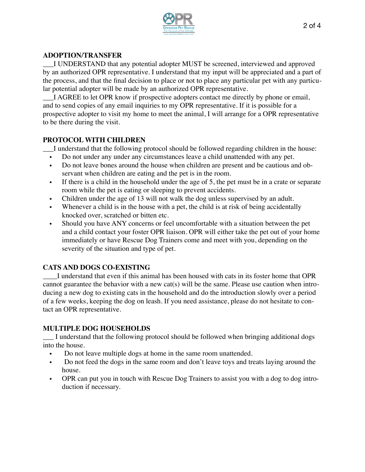

#### **ADOPTION/TRANSFER**

\_\_\_I UNDERSTAND that any potential adopter MUST be screened, interviewed and approved by an authorized OPR representative. I understand that my input will be appreciated and a part of the process, and that the final decision to place or not to place any particular pet with any particular potential adopter will be made by an authorized OPR representative.

\_\_\_I AGREE to let OPR know if prospective adopters contact me directly by phone or email, and to send copies of any email inquiries to my OPR representative. If it is possible for a prospective adopter to visit my home to meet the animal, I will arrange for a OPR representative to be there during the visit.

#### **PROTOCOL WITH CHILDREN**

\_\_\_I understand that the following protocol should be followed regarding children in the house:

- Do not under any under any circumstances leave a child unattended with any pet.
- Do not leave bones around the house when children are present and be cautious and observant when children are eating and the pet is in the room.
- If there is a child in the household under the age of 5, the pet must be in a crate or separate room while the pet is eating or sleeping to prevent accidents.
- Children under the age of 13 will not walk the dog unless supervised by an adult.
- Whenever a child is in the house with a pet, the child is at risk of being accidentally knocked over, scratched or bitten etc.
- Should you have ANY concerns or feel uncomfortable with a situation between the pet and a child contact your foster OPR liaison. OPR will either take the pet out of your home immediately or have Rescue Dog Trainers come and meet with you, depending on the severity of the situation and type of pet.

### **CATS AND DOGS CO-EXISTING**

\_\_\_\_I understand that even if this animal has been housed with cats in its foster home that OPR cannot guarantee the behavior with a new cat(s) will be the same. Please use caution when introducing a new dog to existing cats in the household and do the introduction slowly over a period of a few weeks, keeping the dog on leash. If you need assistance, please do not hesitate to contact an OPR representative.

### **MULTIPLE DOG HOUSEHOLDS**

\_\_\_ I understand that the following protocol should be followed when bringing additional dogs into the house.

- Do not leave multiple dogs at home in the same room unattended.
- Do not feed the dogs in the same room and don't leave toys and treats laying around the house.
- OPR can put you in touch with Rescue Dog Trainers to assist you with a dog to dog introduction if necessary.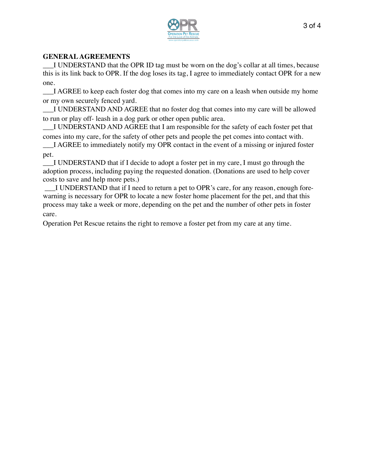

## **GENERAL AGREEMENTS**

\_\_\_I UNDERSTAND that the OPR ID tag must be worn on the dog's collar at all times, because this is its link back to OPR. If the dog loses its tag, I agree to immediately contact OPR for a new one.

\_\_\_I AGREE to keep each foster dog that comes into my care on a leash when outside my home or my own securely fenced yard.

\_\_\_I UNDERSTAND AND AGREE that no foster dog that comes into my care will be allowed to run or play off- leash in a dog park or other open public area.

\_\_\_I UNDERSTAND AND AGREE that I am responsible for the safety of each foster pet that

comes into my care, for the safety of other pets and people the pet comes into contact with. \_\_\_I AGREE to immediately notify my OPR contact in the event of a missing or injured foster

pet.

I UNDERSTAND that if I decide to adopt a foster pet in my care, I must go through the adoption process, including paying the requested donation. (Donations are used to help cover costs to save and help more pets.)

 \_\_\_I UNDERSTAND that if I need to return a pet to OPR's care, for any reason, enough forewarning is necessary for OPR to locate a new foster home placement for the pet, and that this process may take a week or more, depending on the pet and the number of other pets in foster care.

Operation Pet Rescue retains the right to remove a foster pet from my care at any time.